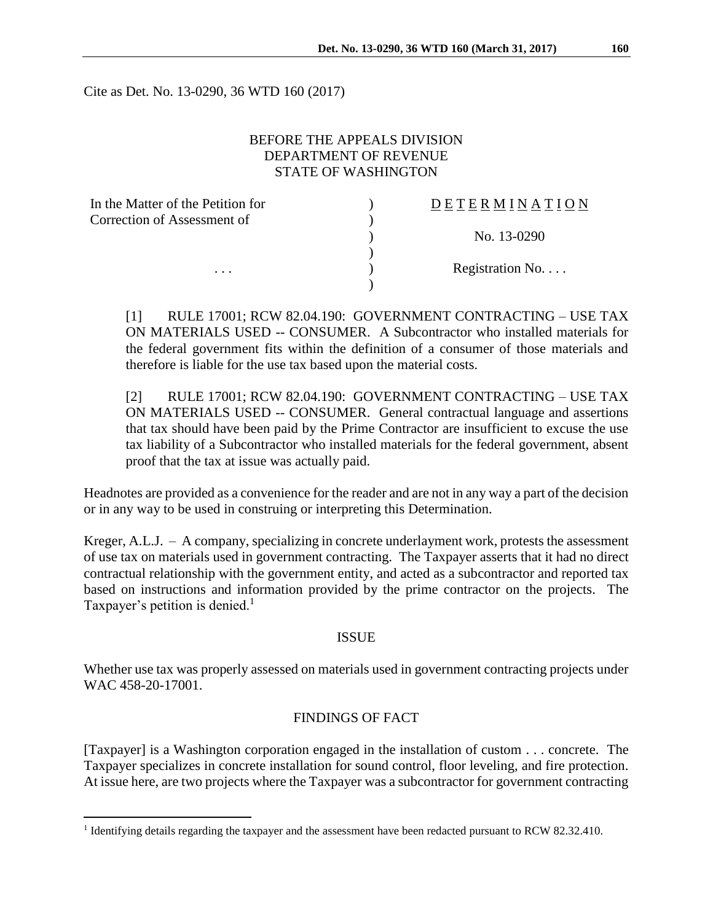Cite as Det. No. 13-0290, 36 WTD 160 (2017)

### BEFORE THE APPEALS DIVISION DEPARTMENT OF REVENUE STATE OF WASHINGTON

| In the Matter of the Petition for | DETERMINATION             |
|-----------------------------------|---------------------------|
| Correction of Assessment of       |                           |
|                                   | No. 13-0290               |
|                                   |                           |
| $\cdots$                          | Registration $No. \ldots$ |
|                                   |                           |

[1] RULE 17001; RCW 82.04.190: GOVERNMENT CONTRACTING – USE TAX ON MATERIALS USED -- CONSUMER. A Subcontractor who installed materials for the federal government fits within the definition of a consumer of those materials and therefore is liable for the use tax based upon the material costs.

[2] RULE 17001; RCW 82.04.190: GOVERNMENT CONTRACTING – USE TAX ON MATERIALS USED -- CONSUMER. General contractual language and assertions that tax should have been paid by the Prime Contractor are insufficient to excuse the use tax liability of a Subcontractor who installed materials for the federal government, absent proof that the tax at issue was actually paid.

Headnotes are provided as a convenience for the reader and are not in any way a part of the decision or in any way to be used in construing or interpreting this Determination.

Kreger, A.L.J. – A company, specializing in concrete underlayment work, protests the assessment of use tax on materials used in government contracting. The Taxpayer asserts that it had no direct contractual relationship with the government entity, and acted as a subcontractor and reported tax based on instructions and information provided by the prime contractor on the projects. The Taxpayer's petition is denied.<sup>1</sup>

#### ISSUE

Whether use tax was properly assessed on materials used in government contracting projects under WAC 458-20-17001.

# FINDINGS OF FACT

[Taxpayer] is a Washington corporation engaged in the installation of custom . . . concrete. The Taxpayer specializes in concrete installation for sound control, floor leveling, and fire protection. At issue here, are two projects where the Taxpayer was a subcontractor for government contracting

 $\overline{a}$ 

<sup>&</sup>lt;sup>1</sup> Identifying details regarding the taxpayer and the assessment have been redacted pursuant to RCW 82.32.410.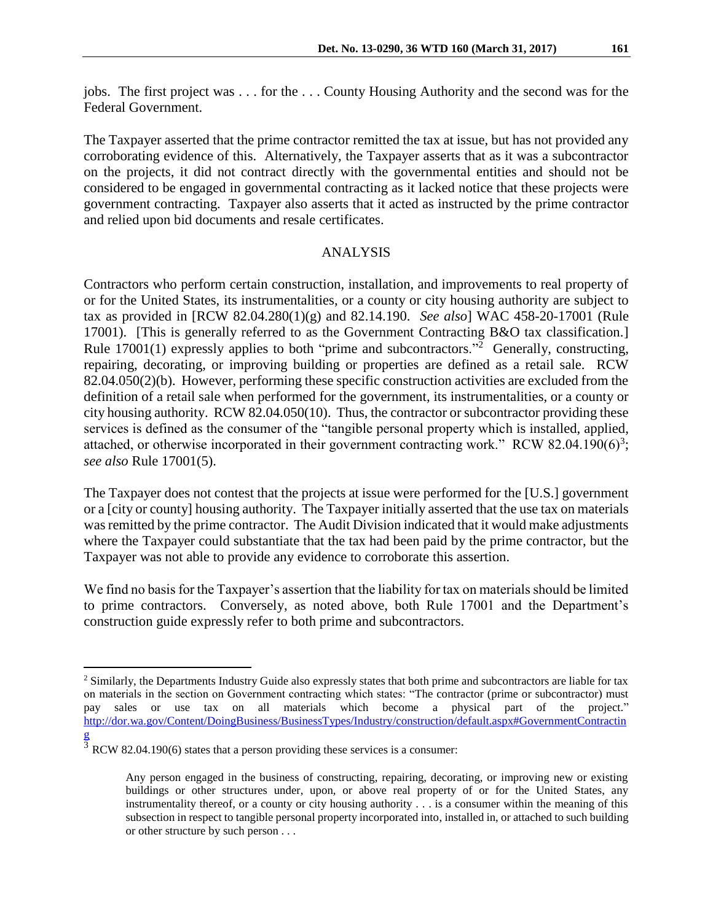jobs. The first project was . . . for the . . . County Housing Authority and the second was for the Federal Government.

The Taxpayer asserted that the prime contractor remitted the tax at issue, but has not provided any corroborating evidence of this. Alternatively, the Taxpayer asserts that as it was a subcontractor on the projects, it did not contract directly with the governmental entities and should not be considered to be engaged in governmental contracting as it lacked notice that these projects were government contracting. Taxpayer also asserts that it acted as instructed by the prime contractor and relied upon bid documents and resale certificates.

# ANALYSIS

Contractors who perform certain construction, installation, and improvements to real property of or for the United States, its instrumentalities, or a county or city housing authority are subject to tax as provided in [RCW 82.04.280(1)(g) and 82.14.190. *See also*] WAC 458-20-17001 (Rule 17001). [This is generally referred to as the Government Contracting B&O tax classification.] Rule 17001(1) expressly applies to both "prime and subcontractors."<sup>2</sup> Generally, constructing, repairing, decorating, or improving building or properties are defined as a retail sale. RCW 82.04.050(2)(b). However, performing these specific construction activities are excluded from the definition of a retail sale when performed for the government, its instrumentalities, or a county or city housing authority. RCW 82.04.050(10). Thus, the contractor or subcontractor providing these services is defined as the consumer of the "tangible personal property which is installed, applied, attached, or otherwise incorporated in their government contracting work." RCW 82.04.190 $(6)^3$ ; *see also* Rule 17001(5).

The Taxpayer does not contest that the projects at issue were performed for the [U.S.] government or a [city or county] housing authority. The Taxpayer initially asserted that the use tax on materials was remitted by the prime contractor. The Audit Division indicated that it would make adjustments where the Taxpayer could substantiate that the tax had been paid by the prime contractor, but the Taxpayer was not able to provide any evidence to corroborate this assertion.

We find no basis for the Taxpayer's assertion that the liability for tax on materials should be limited to prime contractors. Conversely, as noted above, both Rule 17001 and the Department's construction guide expressly refer to both prime and subcontractors.

 $\overline{a}$ 

<sup>&</sup>lt;sup>2</sup> Similarly, the Departments Industry Guide also expressly states that both prime and subcontractors are liable for tax on materials in the section on Government contracting which states: "The contractor (prime or subcontractor) must pay sales or use tax on all materials which become a physical part of the project." [http://dor.wa.gov/Content/DoingBusiness/BusinessTypes/Industry/construction/default.aspx#GovernmentContractin](http://dor.wa.gov/Content/DoingBusiness/BusinessTypes/Industry/construction/default.aspx#GovernmentContracting) [g](http://dor.wa.gov/Content/DoingBusiness/BusinessTypes/Industry/construction/default.aspx#GovernmentContracting)

 $\frac{3}{3}$  RCW 82.04.190(6) states that a person providing these services is a consumer:

Any person engaged in the business of constructing, repairing, decorating, or improving new or existing buildings or other structures under, upon, or above real property of or for the United States, any instrumentality thereof, or a county or city housing authority . . . is a consumer within the meaning of this subsection in respect to tangible personal property incorporated into, installed in, or attached to such building or other structure by such person . . .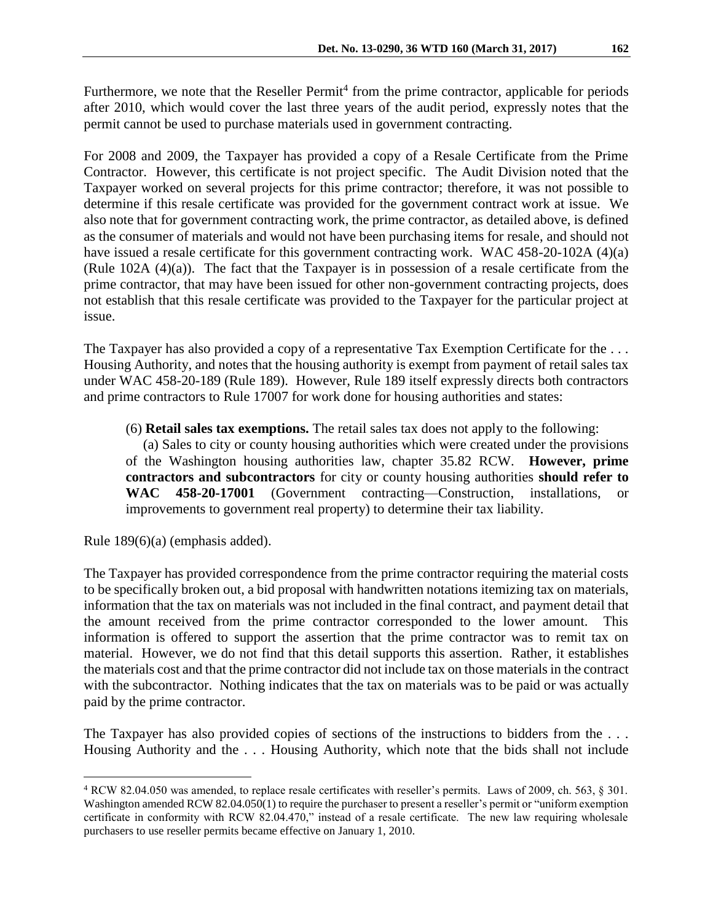Furthermore, we note that the Reseller Permit<sup>4</sup> from the prime contractor, applicable for periods after 2010, which would cover the last three years of the audit period, expressly notes that the permit cannot be used to purchase materials used in government contracting.

For 2008 and 2009, the Taxpayer has provided a copy of a Resale Certificate from the Prime Contractor. However, this certificate is not project specific. The Audit Division noted that the Taxpayer worked on several projects for this prime contractor; therefore, it was not possible to determine if this resale certificate was provided for the government contract work at issue. We also note that for government contracting work, the prime contractor, as detailed above, is defined as the consumer of materials and would not have been purchasing items for resale, and should not have issued a resale certificate for this government contracting work. WAC 458-20-102A (4)(a) (Rule 102A (4)(a)). The fact that the Taxpayer is in possession of a resale certificate from the prime contractor, that may have been issued for other non-government contracting projects, does not establish that this resale certificate was provided to the Taxpayer for the particular project at issue.

The Taxpayer has also provided a copy of a representative Tax Exemption Certificate for the ... Housing Authority, and notes that the housing authority is exempt from payment of retail sales tax under WAC 458-20-189 (Rule 189). However, Rule 189 itself expressly directs both contractors and prime contractors to Rule 17007 for work done for housing authorities and states:

(6) **Retail sales tax exemptions.** The retail sales tax does not apply to the following:

 (a) Sales to city or county housing authorities which were created under the provisions of the Washington housing authorities law, chapter 35.82 RCW. **However, prime contractors and subcontractors** for city or county housing authorities **should refer to WAC 458-20-17001** (Government contracting—Construction, installations, or improvements to government real property) to determine their tax liability.

Rule 189(6)(a) (emphasis added).

 $\overline{a}$ 

The Taxpayer has provided correspondence from the prime contractor requiring the material costs to be specifically broken out, a bid proposal with handwritten notations itemizing tax on materials, information that the tax on materials was not included in the final contract, and payment detail that the amount received from the prime contractor corresponded to the lower amount. This information is offered to support the assertion that the prime contractor was to remit tax on material. However, we do not find that this detail supports this assertion. Rather, it establishes the materials cost and that the prime contractor did not include tax on those materials in the contract with the subcontractor. Nothing indicates that the tax on materials was to be paid or was actually paid by the prime contractor.

The Taxpayer has also provided copies of sections of the instructions to bidders from the ... Housing Authority and the . . . Housing Authority, which note that the bids shall not include

<sup>4</sup> RCW 82.04.050 was amended, to replace resale certificates with reseller's permits. Laws of 2009, ch. 563, § 301. Washington amended RCW 82.04.050(1) to require the purchaser to present a reseller's permit or "uniform exemption" certificate in conformity with RCW 82.04.470," instead of a resale certificate. The new law requiring wholesale purchasers to use reseller permits became effective on January 1, 2010.